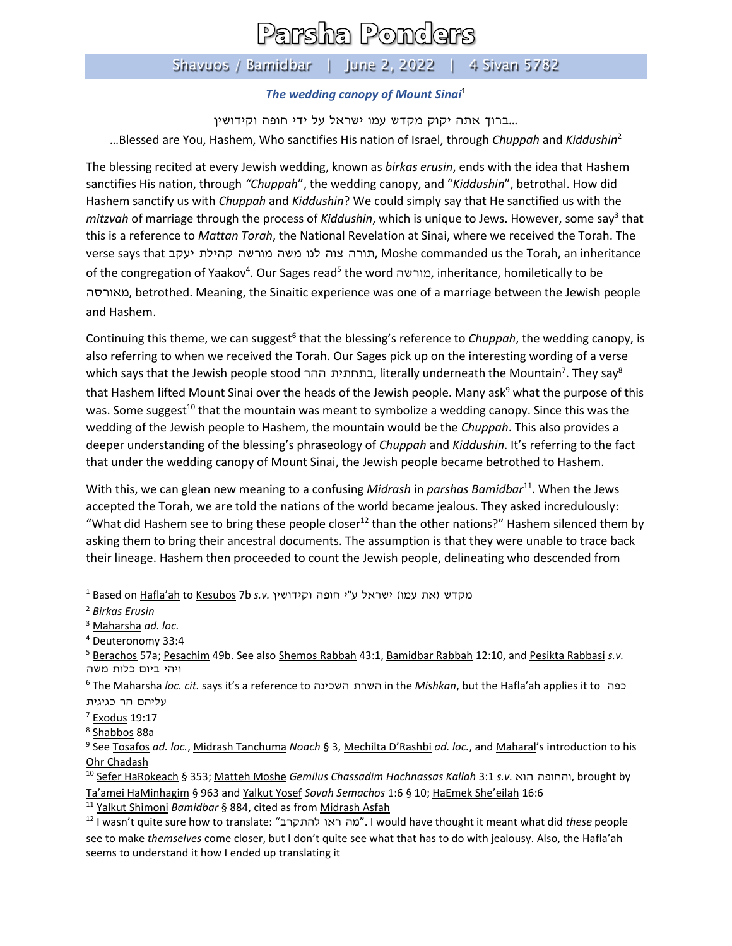## Parsha Ponders

## Shavuos / Bamidbar | June 2, 2022 | 4 Sivan 5782

## *The wedding canopy of Mount Sinai*<sup>1</sup>

...ברוך אתה יקוק מקדש עמו ישראל על ידי חופה וקידושין …Blessed are You, Hashem, Who sanctifies His nation of Israel, through *Chuppah* and *Kiddushin*<sup>2</sup>

The blessing recited at every Jewish wedding, known as *birkas erusin*, ends with the idea that Hashem sanctifies His nation, through *"Chuppah*", the wedding canopy, and "*Kiddushin*", betrothal. How did Hashem sanctify us with *Chuppah* and *Kiddushin*? We could simply say that He sanctified us with the mitzvah of marriage through the process of *Kiddushin*, which is unique to Jews. However, some say<sup>3</sup> that this is a reference to *Mattan Torah*, the National Revelation at Sinai, where we received the Torah. The verse says that יעקב קהילת מורשה משה לנו צוה תורה, Moshe commanded us the Torah, an inheritance of the congregation of Yaakov<sup>4</sup>. Our Sages read<sup>5</sup> the word מורשה, inheritance, homiletically to be מאורסה, betrothed. Meaning, the Sinaitic experience was one of a marriage between the Jewish people and Hashem.

Continuing this theme, we can suggest<sup>6</sup> that the blessing's reference to *Chuppah*, the wedding canopy, is also referring to when we received the Torah. Our Sages pick up on the interesting wording of a verse which says that the Jewish people stood בתחתית ההר, literally underneath the Mountain<sup>7</sup>. They say $^8$ that Hashem lifted Mount Sinai over the heads of the Jewish people. Many ask<sup>9</sup> what the purpose of this was. Some suggest<sup>10</sup> that the mountain was meant to symbolize a wedding canopy. Since this was the wedding of the Jewish people to Hashem, the mountain would be the *Chuppah*. This also provides a deeper understanding of the blessing's phraseology of *Chuppah* and *Kiddushin*. It's referring to the fact that under the wedding canopy of Mount Sinai, the Jewish people became betrothed to Hashem.

With this, we can glean new meaning to a confusing *Midrash* in *parshas Bamidbar*<sup>11</sup>. When the Jews accepted the Torah, we are told the nations of the world became jealous. They asked incredulously: "What did Hashem see to bring these people closer<sup>12</sup> than the other nations?" Hashem silenced them by asking them to bring their ancestral documents. The assumption is that they were unable to trace back their lineage. Hashem then proceeded to count the Jewish people, delineating who descended from

<sup>11</sup> Yalkut Shimoni *Bamidbar* § 884, cited as from Midrash Asfah

<sup>1</sup> Based on Hafla'ah to Kesubos 7b s.v. מקדש (את עמו) ישראל ע"י חופה וקידושין

<sup>2</sup> *Birkas Erusin*

<sup>3</sup> Maharsha *ad. loc.*

<sup>4</sup> Deuteronomy 33:4

<sup>5</sup> Berachos 57a; Pesachim 49b. See also Shemos Rabbah 43:1, Bamidbar Rabbah 12:10, and Pesikta Rabbasi *s.v.* ויהי ביום כלות משה

<sup>6</sup> The Maharsha *loc. cit.* says it's a reference to השכינה השרת in the *Mishkan*, but the Hafla'ah applies it to כפה עליהם הר כגיגית

 $7$  Exodus 19:17

<sup>&</sup>lt;sup>8</sup> Shabbos 88a

<sup>9</sup> See Tosafos *ad. loc.*, Midrash Tanchuma *Noach* § 3, Mechilta D'Rashbi *ad. loc.*, and Maharal's introduction to his Ohr Chadash

<sup>10</sup> Sefer HaRokeach § 353; Matteh Moshe *Gemilus Chassadim Hachnassas Kallah* 3:1 *s.v.* הוא חופה וה, brought by Ta'amei HaMinhagim § 963 and Yalkut Yosef *Sovah Semachos* 1:6 § 10; HaEmek She'eilah 16:6

<sup>12</sup> I wasn't quite sure how to translate: " להתקרב ראו מה". I would have thought it meant what did *these* people see to make *themselves* come closer, but I don't quite see what that has to do with jealousy. Also, the Hafla'ah seems to understand it how I ended up translating it